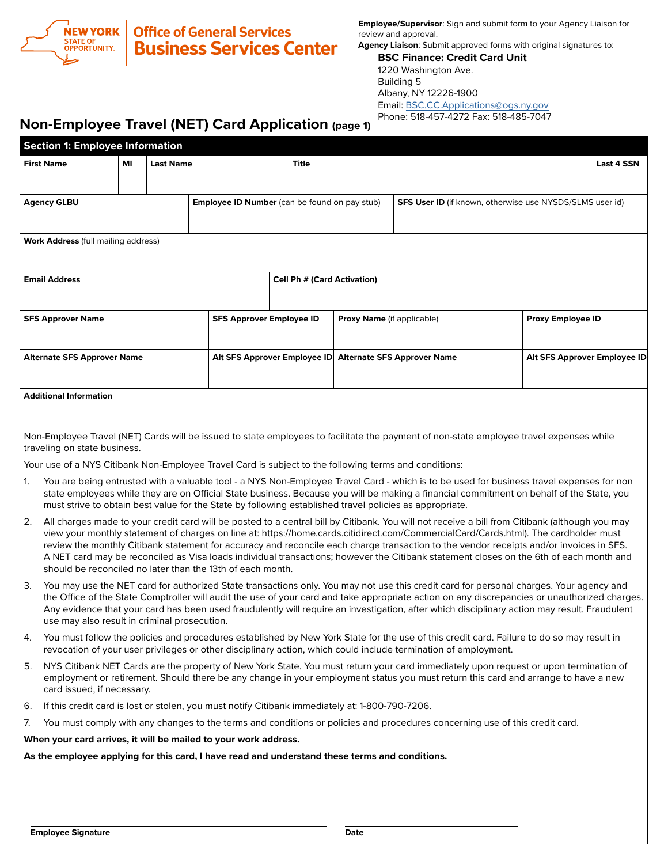

**Employee/Supervisor**: Sign and submit form to your Agency Liaison for review and approval.

**Agency Liaison**: Submit approved forms with original signatures to:

**BSC Finance: Credit Card Unit**

1220 Washington Ave. Building 5 Albany, NY 12226-1900 Email: [BSC.CC.Applications@ogs.ny.gov](mailto:BSC.CC.Applications%40ogs.ny.gov?subject=)

Phone: 518-457-4272 Fax: 518-485-7047

## **Non-Employee Travel (NET) Card Application (page 1)**

|                                                                | <b>Section 1: Employee Information</b>                                                                                                                                                                                                                                                                                                                                                                                                                                                                                                                                                                                                    |    |                  |  |                                                                                                       |                                    |                                                                                        |                                                                                                                                         |                                                          |            |
|----------------------------------------------------------------|-------------------------------------------------------------------------------------------------------------------------------------------------------------------------------------------------------------------------------------------------------------------------------------------------------------------------------------------------------------------------------------------------------------------------------------------------------------------------------------------------------------------------------------------------------------------------------------------------------------------------------------------|----|------------------|--|-------------------------------------------------------------------------------------------------------|------------------------------------|----------------------------------------------------------------------------------------|-----------------------------------------------------------------------------------------------------------------------------------------|----------------------------------------------------------|------------|
|                                                                | <b>First Name</b>                                                                                                                                                                                                                                                                                                                                                                                                                                                                                                                                                                                                                         | MI | <b>Last Name</b> |  |                                                                                                       | Title                              |                                                                                        |                                                                                                                                         |                                                          | Last 4 SSN |
|                                                                |                                                                                                                                                                                                                                                                                                                                                                                                                                                                                                                                                                                                                                           |    |                  |  |                                                                                                       |                                    |                                                                                        |                                                                                                                                         |                                                          |            |
| <b>Agency GLBU</b>                                             |                                                                                                                                                                                                                                                                                                                                                                                                                                                                                                                                                                                                                                           |    |                  |  | <b>Employee ID Number</b> (can be found on pay stub)                                                  |                                    |                                                                                        | SFS User ID (if known, otherwise use NYSDS/SLMS user id)                                                                                |                                                          |            |
|                                                                | Work Address (full mailing address)                                                                                                                                                                                                                                                                                                                                                                                                                                                                                                                                                                                                       |    |                  |  |                                                                                                       |                                    |                                                                                        |                                                                                                                                         |                                                          |            |
|                                                                | <b>Email Address</b>                                                                                                                                                                                                                                                                                                                                                                                                                                                                                                                                                                                                                      |    |                  |  |                                                                                                       | <b>Cell Ph # (Card Activation)</b> |                                                                                        |                                                                                                                                         |                                                          |            |
|                                                                |                                                                                                                                                                                                                                                                                                                                                                                                                                                                                                                                                                                                                                           |    |                  |  |                                                                                                       |                                    |                                                                                        |                                                                                                                                         |                                                          |            |
| <b>SFS Approver Name</b><br><b>Alternate SFS Approver Name</b> |                                                                                                                                                                                                                                                                                                                                                                                                                                                                                                                                                                                                                                           |    |                  |  | <b>SFS Approver Employee ID</b>                                                                       |                                    | Proxy Name (if applicable)<br>Alt SFS Approver Employee ID Alternate SFS Approver Name |                                                                                                                                         | <b>Proxy Employee ID</b><br>Alt SFS Approver Employee ID |            |
|                                                                |                                                                                                                                                                                                                                                                                                                                                                                                                                                                                                                                                                                                                                           |    |                  |  |                                                                                                       |                                    |                                                                                        |                                                                                                                                         |                                                          |            |
|                                                                | <b>Additional Information</b>                                                                                                                                                                                                                                                                                                                                                                                                                                                                                                                                                                                                             |    |                  |  |                                                                                                       |                                    |                                                                                        |                                                                                                                                         |                                                          |            |
|                                                                |                                                                                                                                                                                                                                                                                                                                                                                                                                                                                                                                                                                                                                           |    |                  |  |                                                                                                       |                                    |                                                                                        |                                                                                                                                         |                                                          |            |
|                                                                | traveling on state business.                                                                                                                                                                                                                                                                                                                                                                                                                                                                                                                                                                                                              |    |                  |  |                                                                                                       |                                    |                                                                                        | Non-Employee Travel (NET) Cards will be issued to state employees to facilitate the payment of non-state employee travel expenses while |                                                          |            |
|                                                                |                                                                                                                                                                                                                                                                                                                                                                                                                                                                                                                                                                                                                                           |    |                  |  | Your use of a NYS Citibank Non-Employee Travel Card is subject to the following terms and conditions: |                                    |                                                                                        |                                                                                                                                         |                                                          |            |
| $1_{\cdot}$                                                    | You are being entrusted with a valuable tool - a NYS Non-Employee Travel Card - which is to be used for business travel expenses for non<br>state employees while they are on Official State business. Because you will be making a financial commitment on behalf of the State, you<br>must strive to obtain best value for the State by following established travel policies as appropriate.                                                                                                                                                                                                                                           |    |                  |  |                                                                                                       |                                    |                                                                                        |                                                                                                                                         |                                                          |            |
| 2.                                                             | All charges made to your credit card will be posted to a central bill by Citibank. You will not receive a bill from Citibank (although you may<br>view your monthly statement of charges on line at: https://home.cards.citidirect.com/CommercialCard/Cards.html). The cardholder must<br>review the monthly Citibank statement for accuracy and reconcile each charge transaction to the vendor receipts and/or invoices in SFS.<br>A NET card may be reconciled as Visa loads individual transactions; however the Citibank statement closes on the 6th of each month and<br>should be reconciled no later than the 13th of each month. |    |                  |  |                                                                                                       |                                    |                                                                                        |                                                                                                                                         |                                                          |            |
| З.                                                             | You may use the NET card for authorized State transactions only. You may not use this credit card for personal charges. Your agency and<br>the Office of the State Comptroller will audit the use of your card and take appropriate action on any discrepancies or unauthorized charges.<br>Any evidence that your card has been used fraudulently will require an investigation, after which disciplinary action may result. Fraudulent<br>use may also result in criminal prosecution.                                                                                                                                                  |    |                  |  |                                                                                                       |                                    |                                                                                        |                                                                                                                                         |                                                          |            |
| 4.                                                             | You must follow the policies and procedures established by New York State for the use of this credit card. Failure to do so may result in<br>revocation of your user privileges or other disciplinary action, which could include termination of employment.                                                                                                                                                                                                                                                                                                                                                                              |    |                  |  |                                                                                                       |                                    |                                                                                        |                                                                                                                                         |                                                          |            |
| 5.                                                             | NYS Citibank NET Cards are the property of New York State. You must return your card immediately upon request or upon termination of<br>employment or retirement. Should there be any change in your employment status you must return this card and arrange to have a new<br>card issued, if necessary.                                                                                                                                                                                                                                                                                                                                  |    |                  |  |                                                                                                       |                                    |                                                                                        |                                                                                                                                         |                                                          |            |
| 6.                                                             | If this credit card is lost or stolen, you must notify Citibank immediately at: 1-800-790-7206.                                                                                                                                                                                                                                                                                                                                                                                                                                                                                                                                           |    |                  |  |                                                                                                       |                                    |                                                                                        |                                                                                                                                         |                                                          |            |
| 7.                                                             | You must comply with any changes to the terms and conditions or policies and procedures concerning use of this credit card.                                                                                                                                                                                                                                                                                                                                                                                                                                                                                                               |    |                  |  |                                                                                                       |                                    |                                                                                        |                                                                                                                                         |                                                          |            |
|                                                                |                                                                                                                                                                                                                                                                                                                                                                                                                                                                                                                                                                                                                                           |    |                  |  | When your card arrives, it will be mailed to your work address.                                       |                                    |                                                                                        |                                                                                                                                         |                                                          |            |
|                                                                |                                                                                                                                                                                                                                                                                                                                                                                                                                                                                                                                                                                                                                           |    |                  |  | As the employee applying for this card, I have read and understand these terms and conditions.        |                                    |                                                                                        |                                                                                                                                         |                                                          |            |
|                                                                |                                                                                                                                                                                                                                                                                                                                                                                                                                                                                                                                                                                                                                           |    |                  |  |                                                                                                       |                                    |                                                                                        |                                                                                                                                         |                                                          |            |
|                                                                |                                                                                                                                                                                                                                                                                                                                                                                                                                                                                                                                                                                                                                           |    |                  |  |                                                                                                       |                                    |                                                                                        |                                                                                                                                         |                                                          |            |
|                                                                |                                                                                                                                                                                                                                                                                                                                                                                                                                                                                                                                                                                                                                           |    |                  |  |                                                                                                       |                                    |                                                                                        |                                                                                                                                         |                                                          |            |